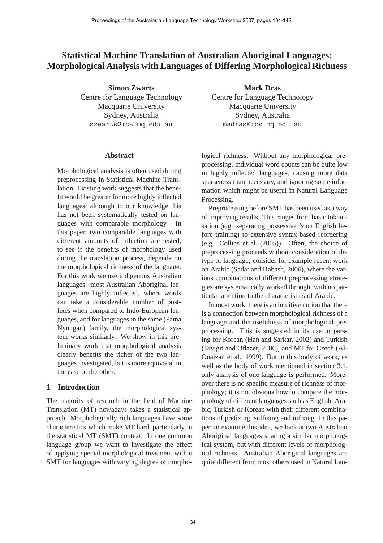# **Statistical Machine Translation of Australian Aboriginal Languages: Morphological Analysis with Languages of Differing Morphological Richness**

**Simon Zwarts** Centre for Language Technology Macquarie University Sydney, Australia [szwarts@ics.mq.edu.au](mailto:szwarts@ics.mq.edu.au)

#### **Abstract**

Morphological analysis is often used during preprocessing in Statistical Machine Translation. Existing work suggests that the benefit would be greater for more highly inflected languages, although to our knowledge this has not been systematically tested on languages with comparable morphology. In this paper, two comparable languages with different amounts of inflection are tested, to see if the benefits of morphology used during the translation process, depends on the morphological richness of the language. For this work we use indigenous Australian languages: most Australian Aboriginal languages are highly inflected, where words can take a considerable number of postfixes when compared to Indo-European languages, and for languages in the same (Pama Nyungan) family, the morphological system works similarly. We show in this preliminary work that morphological analysis clearly benefits the richer of the two languages investigated, but is more equivocal in the case of the other.

# **1 Introduction**

The majority of research in the field of Machine Translation (MT) nowadays takes a statistical approach. Morphologically rich languages have some characteristics which make MT hard, particularly in the statistical MT (SMT) context. In one common language group we want to investigate the effect of applying special morphological treatment within SMT for languages with varying degree of morpho-

**Mark Dras** Centre for Language Technology Macquarie University Sydney, Australia [madras@ics.mq.edu.au](mailto:madras@ics.mq.edu.au)

logical richness. Without any morphological preprocessing, individual word counts can be quite low in highly inflected languages, causing more data sparseness than necessary, and ignoring some information which might be useful in Natural Language Processing.

Preprocessing before SMT has been used as a way of improving results. This ranges from basic tokenisation (e.g. separating possessive *'s* on English before training) to extensive syntax-based reordering (e.g. Collins et al. (2005)). Often, the choice of preprocessing proceeds without consideration of the type of language; consider for example recent work on Arabic (Sadat and Habash, 2006), where the various combinations of different preprocessing strategies are systematically worked through, with no particular attention to the characteristics of Arabic.

In most work, there is an intuitive notion that there is a connection between morphological richness of a language and the usefulness of morphological preprocessing. This is suggested in its use in parsing for Korean (Han and Sarkar, 2002) and Turkish (Eryiğit and Oflazer, 2006), and MT for Czech (Al-Onaizan et al., 1999). But in this body of work, as well as the body of work mentioned in section 3.1, only analysis of one language is performed. Moreover there is no specific measure of richness of morphology; it is not obvious how to compare the morphology of different languages such as English, Arabic, Turkish or Korean with their different combinations of prefixing, suffixing and infixing. In this paper, to examine this idea, we look at two Australian Aboriginal languages sharing a similar morphological system, but with different levels of morphological richness. Australian Aboriginal languages are quite different from most others used in Natural Lan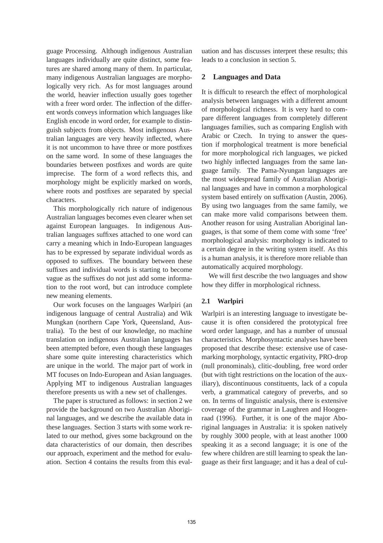guage Processing. Although indigenous Australian languages individually are quite distinct, some features are shared among many of them. In particular, many indigenous Australian languages are morphologically very rich. As for most languages around the world, heavier inflection usually goes together with a freer word order. The inflection of the different words conveys information which languages like English encode in word order, for example to distinguish subjects from objects. Most indigenous Australian languages are very heavily inflected, where it is not uncommon to have three or more postfixes on the same word. In some of these languages the boundaries between postfixes and words are quite imprecise. The form of a word reflects this, and morphology might be explicitly marked on words, where roots and postfixes are separated by special characters.

This morphologically rich nature of indigenous Australian languages becomes even clearer when set against European languages. In indigenous Australian languages suffixes attached to one word can carry a meaning which in Indo-European languages has to be expressed by separate individual words as opposed to suffixes. The boundary between these suffixes and individual words is starting to become vague as the suffixes do not just add some information to the root word, but can introduce complete new meaning elements.

Our work focuses on the languages Warlpiri (an indigenous language of central Australia) and Wik Mungkan (northern Cape York, Queensland, Australia). To the best of our knowledge, no machine translation on indigenous Australian languages has been attempted before, even though these languages share some quite interesting characteristics which are unique in the world. The major part of work in MT focuses on Indo-European and Asian languages. Applying MT to indigenous Australian languages therefore presents us with a new set of challenges.

The paper is structured as follows: in section 2 we provide the background on two Australian Aboriginal languages, and we describe the available data in these languages. Section 3 starts with some work related to our method, gives some background on the data characteristics of our domain, then describes our approach, experiment and the method for evaluation. Section 4 contains the results from this eval-

uation and has discusses interpret these results; this leads to a conclusion in section 5.

# **2 Languages and Data**

It is difficult to research the effect of morphological analysis between languages with a different amount of morphological richness. It is very hard to compare different languages from completely different languages families, such as comparing English with Arabic or Czech. In trying to answer the question if morphological treatment is more beneficial for more morphological rich languages, we picked two highly inflected languages from the same language family. The Pama-Nyungan languages are the most widespread family of Australian Aboriginal languages and have in common a morphological system based entirely on suffixation (Austin, 2006). By using two languages from the same family, we can make more valid comparisons between them. Another reason for using Australian Aboriginal languages, is that some of them come with some 'free' morphological analysis: morphology is indicated to a certain degree in the writing system itself. As this is a human analysis, it is therefore more reliable than automatically acquired morphology.

We will first describe the two languages and show how they differ in morphological richness.

# **2.1 Warlpiri**

Warlpiri is an interesting language to investigate because it is often considered the prototypical free word order language, and has a number of unusual characteristics. Morphosyntactic analyses have been proposed that describe these: extensive use of casemarking morphology, syntactic ergativity, PRO-drop (null pronominals), clitic-doubling, free word order (but with tight restrictions on the location of the auxiliary), discontinuous constituents, lack of a copula verb, a grammatical category of preverbs, and so on. In terms of linguistic analysis, there is extensive coverage of the grammar in Laughren and Hoogenraad (1996). Further, it is one of the major Aboriginal languages in Australia: it is spoken natively by roughly 3000 people, with at least another 1000 speaking it as a second language; it is one of the few where children are still learning to speak the language as their first language; and it has a deal of cul-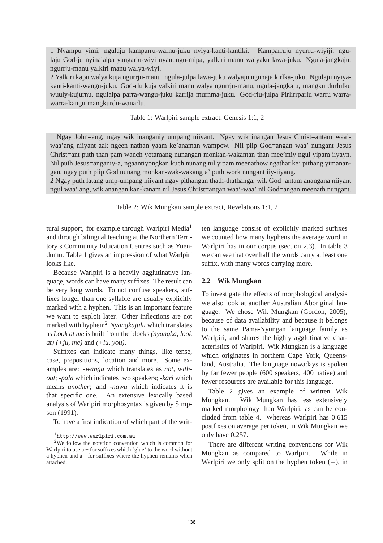1 Nyampu yimi, ngulaju kamparru-warnu-juku nyiya-kanti-kantiki. Kamparruju nyurru-wiyiji, ngulaju God-ju nyinajalpa yangarlu-wiyi nyanungu-mipa, yalkiri manu walyaku lawa-juku. Ngula-jangkaju, ngurrju-manu yalkiri manu walya-wiyi.

2 Yalkiri kapu walya kuja ngurrju-manu, ngula-julpa lawa-juku walyaju ngunaja kirlka-juku. Ngulaju nyiyakanti-kanti-wangu-juku. God-rlu kuja yalkiri manu walya ngurrju-manu, ngula-jangkaju, mangkurdurlulku wuuly-kujurnu, ngulalpa parra-wangu-juku karrija murnma-juku. God-rlu-julpa Pirlirrparlu warru warrawarra-kangu mangkurdu-wanarlu.

# Table 1: Warlpiri sample extract, Genesis 1:1, 2

1 Ngay John=ang, ngay wik inanganiy umpang niiyant. Ngay wik inangan Jesus Christ=antam waa' waa'ang niiyant aak ngeen nathan yaam ke'anaman wampow. Nil piip God=angan waa' nungant Jesus Christ=ant puth than pam wanch yotamang nunangan monkan-wakantan than mee'miy ngul yipam iiyayn. Nil puth Jesus=anganiy-a, ngaantiyongkan kuch nunang nil yipam meenathow ngathar ke' pithang yimanangan, ngay puth piip God nunang monkan-wak-wakang a' puth work nungant iiy-iiyang.

2 Ngay puth latang ump-umpang niiyant ngay pithangan thath-thathanga, wik God=antam anangana niiyant ngul waa' ang, wik anangan kan-kanam nil Jesus Christ=angan waa'-waa' nil God=angan meenath nungant.

Table 2: Wik Mungkan sample extract, Revelations 1:1, 2

tural support, for example through Warlpiri Media<sup>1</sup> and through bilingual teaching at the Northern Territory's Community Education Centres such as Yuendumu. Table 1 gives an impression of what Warlpiri looks like.

Because Warlpiri is a heavily agglutinative language, words can have many suffixes. The result can be very long words. To not confuse speakers, suffixes longer than one syllable are usually explicitly marked with a hyphen. This is an important feature we want to exploit later. Other inflections are not marked with hyphen:<sup>2</sup> *Nyangkajulu* which translates as *Look at me* is built from the blocks *(nyangka, look at) (+ju, me)* and *(+lu, you)*.

Suffixes can indicate many things, like tense, case, prepositions, location and more. Some examples are: *-wangu* which translates as *not, without*; *-pala* which indicates two speakers; *-kari* which means *another*; and *-nawu* which indicates it is that specific one. An extensive lexically based analysis of Warlpiri morphosyntax is given by Simpson (1991).

To have a first indication of which part of the writ-

ten language consist of explicitly marked suffixes we counted how many hyphens the average word in Warlpiri has in our corpus (section 2.3). In table 3 we can see that over half the words carry at least one suffix, with many words carrying more.

#### **2.2 Wik Mungkan**

To investigate the effects of morphological analysis we also look at another Australian Aboriginal language. We chose Wik Mungkan (Gordon, 2005), because of data availability and because it belongs to the same Pama-Nyungan language family as Warlpiri, and shares the highly agglutinative characteristics of Warlpiri. Wik Mungkan is a language which originates in northern Cape York, Queensland, Australia. The language nowadays is spoken by far fewer people (600 speakers, 400 native) and fewer resources are available for this language.

Table 2 gives an example of written Wik Mungkan. Wik Mungkan has less extensively marked morphology than Warlpiri, as can be concluded from table 4. Whereas Warlpiri has 0.615 postfixes on average per token, in Wik Mungkan we only have 0.257.

There are different writing conventions for Wik Mungkan as compared to Warlpiri. While in Warlpiri we only split on the hyphen token  $(-)$ , in

<sup>1</sup>http://[www.warlpiri.com.au](http://www.warlpiri.com.au)

<sup>2</sup>We follow the notation convention which is common for Warlpiri to use a + for suffixes which 'glue' to the word without a hyphen and a - for suffixes where the hyphen remains when attached.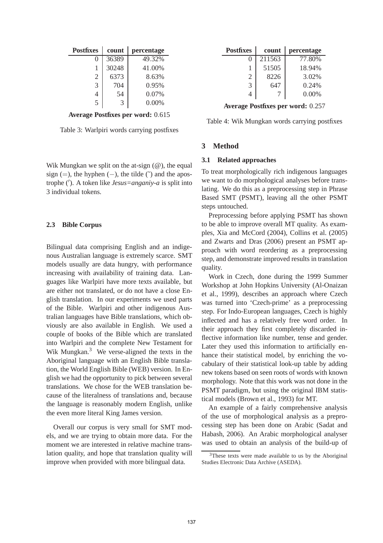| <b>Postfixes</b> | count | percentage |  |  |
|------------------|-------|------------|--|--|
|                  | 36389 | 49.32%     |  |  |
|                  | 30248 | 41.00%     |  |  |
| $\overline{2}$   | 6373  | 8.63%      |  |  |
| $\mathcal{R}$    | 704   | 0.95%      |  |  |
|                  | 54    | $0.07\%$   |  |  |
| 5                | 3     | $0.00\%$   |  |  |

**Average Postfixes per word:** 0.615

Table 3: Warlpiri words carrying postfixes

Wik Mungkan we split on the at-sign  $(\omega)$ , the equal sign (=), the hyphen (−), the tilde ( $\tilde{\ }$ ) and the apostrophe (′ ). A token like *Jesus=anganiy-a* is split into 3 individual tokens.

#### **2.3 Bible Corpus**

Bilingual data comprising English and an indigenous Australian language is extremely scarce. SMT models usually are data hungry, with performance increasing with availability of training data. Languages like Warlpiri have more texts available, but are either not translated, or do not have a close English translation. In our experiments we used parts of the Bible. Warlpiri and other indigenous Australian languages have Bible translations, which obviously are also available in English. We used a couple of books of the Bible which are translated into Warlpiri and the complete New Testament for Wik Mungkan.<sup>3</sup> We verse-aligned the texts in the Aboriginal language with an English Bible translation, the World English Bible (WEB) version. In English we had the opportunity to pick between several translations. We chose for the WEB translation because of the literalness of translations and, because the language is reasonably modern English, unlike the even more literal King James version.

Overall our corpus is very small for SMT models, and we are trying to obtain more data. For the moment we are interested in relative machine translation quality, and hope that translation quality will improve when provided with more bilingual data.

| Postfixes      | count  | percentage |  |  |
|----------------|--------|------------|--|--|
| 0              | 211563 | 77.80%     |  |  |
| 1              | 51505  | 18.94%     |  |  |
| $\overline{2}$ | 8226   | 3.02%      |  |  |
| 3              | 647    | 0.24%      |  |  |
|                |        | $0.00\%$   |  |  |

**Average Postfixes per word:** 0.257

Table 4: Wik Mungkan words carrying postfixes

## **3 Method**

#### **3.1 Related approaches**

To treat morphologically rich indigenous languages we want to do morphological analyses before translating. We do this as a preprocessing step in Phrase Based SMT (PSMT), leaving all the other PSMT steps untouched.

Preprocessing before applying PSMT has shown to be able to improve overall MT quality. As examples, Xia and McCord (2004), Collins et al. (2005) and Zwarts and Dras (2006) present an PSMT approach with word reordering as a preprocessing step, and demonstrate improved results in translation quality.

Work in Czech, done during the 1999 Summer Workshop at John Hopkins University (Al-Onaizan et al., 1999), describes an approach where Czech was turned into 'Czech-prime' as a preprocessing step. For Indo-European languages, Czech is highly inflected and has a relatively free word order. In their approach they first completely discarded inflective information like number, tense and gender. Later they used this information to artificially enhance their statistical model, by enriching the vocabulary of their statistical look-up table by adding new tokens based on seen roots of words with known morphology. Note that this work was not done in the PSMT paradigm, but using the original IBM statistical models (Brown et al., 1993) for MT.

An example of a fairly comprehensive analysis of the use of morphological analysis as a preprocessing step has been done on Arabic (Sadat and Habash, 2006). An Arabic morphological analyser was used to obtain an analysis of the build-up of

<sup>3</sup>These texts were made available to us by the Aboriginal Studies Electronic Data Archive (ASEDA).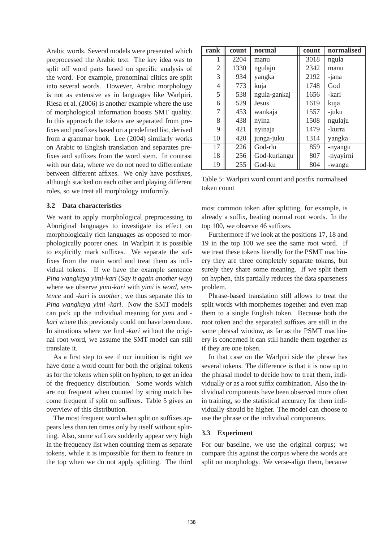Arabic words. Several models were presented which preprocessed the Arabic text. The key idea was to split off word parts based on specific analysis of the word. For example, pronominal clitics are split into several words. However, Arabic morphology is not as extensive as in languages like Warlpiri. Riesa et al. (2006) is another example where the use of morphological information boosts SMT quality. In this approach the tokens are separated from prefixes and postfixes based on a predefined list, derived from a grammar book. Lee (2004) similarly works on Arabic to English translation and separates prefixes and suffixes from the word stem. In contrast with our data, where we do not need to differentiate between different affixes. We only have postfixes, although stacked on each other and playing different roles, so we treat all morphology uniformly.

#### **3.2 Data characteristics**

We want to apply morphological preprocessing to Aboriginal languages to investigate its effect on morphologically rich languages as opposed to morphologically poorer ones. In Warlpiri it is possible to explicitly mark suffixes. We separate the suffixes from the main word and treat them as individual tokens. If we have the example sentence *Pina wangkaya yimi-kari* (*Say it again another way*) where we observe *yimi-kari* with *yimi* is *word, sentence* and *-kari* is *another*; we thus separate this to *Pina wangkaya yimi -kari*. Now the SMT models can pick up the individual meaning for *yimi* and  *kari* where this previously could not have been done. In situations where we find *-kari* without the original root word, we assume the SMT model can still translate it.

As a first step to see if our intuition is right we have done a word count for both the original tokens as for the tokens when split on hyphen, to get an idea of the frequency distribution. Some words which are not frequent when counted by string match become frequent if split on suffixes. Table 5 gives an overview of this distribution.

The most frequent word when split on suffixes appears less than ten times only by itself without splitting. Also, some suffixes suddenly appear very high in the frequency list when counting them as separate tokens, while it is impossible for them to feature in the top when we do not apply splitting. The third

| rank           | count | normal       | count | normalised |  |
|----------------|-------|--------------|-------|------------|--|
| 1              | 2204  | manu         | 3018  | ngula      |  |
| $\mathfrak{2}$ | 1330  | ngulaju      | 2342  | manu       |  |
| 3              | 934   | yangka       | 2192  | -jana      |  |
| 4              | 773   | kuja<br>1748 |       | God        |  |
| 5              | 538   | ngula-gankaj | 1656  | -kari      |  |
| 6              | 529   | <b>Jesus</b> | 1619  | kuja       |  |
| 7              | 453   | wankaja      | 1557  | -juku      |  |
| 8              | 438   | nyina        | 1508  | ngulaju    |  |
| 9              | 421   | nyinaja      | 1479  | -kurra     |  |
| 10             | 420   | junga-juku   | 1314  | yangka     |  |
| 17             | 226   | God-rlu      | 859   | -nyangu    |  |
| 18             | 256   | God-kurlangu | 807   | -nyayirni  |  |
| 19             | 255   | God-ku       | 804   | -wangu     |  |

Table 5: Warlpiri word count and postfix normalised token count

most common token after splitting, for example, is already a suffix, beating normal root words. In the top 100, we observe 46 suffixes.

Furthermore if we look at the positions 17, 18 and 19 in the top 100 we see the same root word. If we treat these tokens literally for the PSMT machinery they are three completely separate tokens, but surely they share some meaning. If we split them on hyphen, this partially reduces the data sparseness problem.

Phrase-based translation still allows to treat the split words with morphemes together and even map them to a single English token. Because both the root token and the separated suffixes are still in the same phrasal window, as far as the PSMT machinery is concerned it can still handle them together as if they are one token.

In that case on the Warlpiri side the phrase has several tokens. The difference is that it is now up to the phrasal model to decide how to treat them, individually or as a root suffix combination. Also the individual components have been observed more often in training, so the statistical accuracy for them individually should be higher. The model can choose to use the phrase or the individual components.

#### **3.3 Experiment**

For our baseline, we use the original corpus; we compare this against the corpus where the words are split on morphology. We verse-align them, because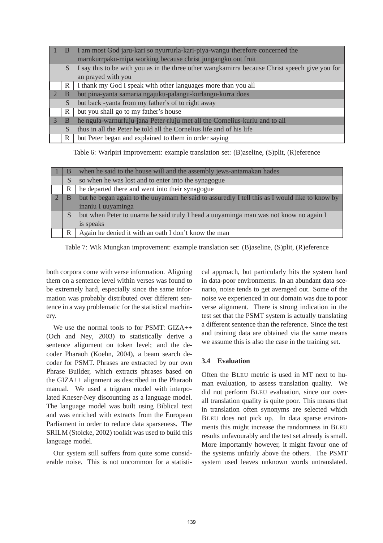|               | B | I am most God jaru-kari so nyurrurla-kari-piya-wangu therefore concerned the                   |
|---------------|---|------------------------------------------------------------------------------------------------|
|               |   | marnkurrpaku-mipa working because christ jungangku out fruit                                   |
|               | S | I say this to be with you as in the three other wangkamirra because Christ speech give you for |
|               |   | an prayed with you                                                                             |
|               | R | I thank my God I speak with other languages more than you all                                  |
| $\mathcal{D}$ | B | but pina-yanta samaria ngajuku-palangu-kurlangu-kurra does                                     |
|               | S | but back -yanta from my father's of to right away                                              |
|               | R | but you shall go to my father's house                                                          |
|               | B | he ngula-warnurluju-jana Peter-rluju met all the Cornelius-kurlu and to all                    |
|               | S | thus in all the Peter he told all the Cornelius life and of his life                           |
|               | R | but Peter began and explained to them in order saying                                          |

Table 6: Warlpiri improvement: example translation set: (B)aseline, (S)plit, (R)eference

| В | when he said to the house will and the assembly jews-antamakan hades                      |
|---|-------------------------------------------------------------------------------------------|
| S | so when he was lost and to enter into the synagogue                                       |
| R | he departed there and went into their synagogue                                           |
| B | but he began again to the universal but assumed by I tell this as I would like to know by |
|   | inaniu I uuyaminga                                                                        |
| S | but when Peter to uuama he said truly I head a uuyaminga man was not know no again I      |
|   | is speaks                                                                                 |
| R | Again he denied it with an oath I don't know the man                                      |

Table 7: Wik Mungkan improvement: example translation set: (B)aseline, (S)plit, (R)eference

both corpora come with verse information. Aligning them on a sentence level within verses was found to be extremely hard, especially since the same information was probably distributed over different sentence in a way problematic for the statistical machinery.

We use the normal tools to for PSMT: GIZA++ (Och and Ney, 2003) to statistically derive a sentence alignment on token level; and the decoder Pharaoh (Koehn, 2004), a beam search decoder for PSMT. Phrases are extracted by our own Phrase Builder, which extracts phrases based on the GIZA++ alignment as described in the Pharaoh manual. We used a trigram model with interpolated Kneser-Ney discounting as a language model. The language model was built using Biblical text and was enriched with extracts from the European Parliament in order to reduce data sparseness. The SRILM (Stolcke, 2002) toolkit was used to build this language model.

Our system still suffers from quite some considerable noise. This is not uncommon for a statistical approach, but particularly hits the system hard in data-poor environments. In an abundant data scenario, noise tends to get averaged out. Some of the noise we experienced in our domain was due to poor verse alignment. There is strong indication in the test set that the PSMT system is actually translating a different sentence than the reference. Since the test and training data are obtained via the same means we assume this is also the case in the training set.

# **3.4 Evaluation**

Often the BLEU metric is used in MT next to human evaluation, to assess translation quality. We did not perform BLEU evaluation, since our overall translation quality is quite poor. This means that in translation often synonyms are selected which BLEU does not pick up. In data sparse environments this might increase the randomness in BLEU results unfavourably and the test set already is small. More importantly however, it might favour one of the systems unfairly above the others. The PSMT system used leaves unknown words untranslated.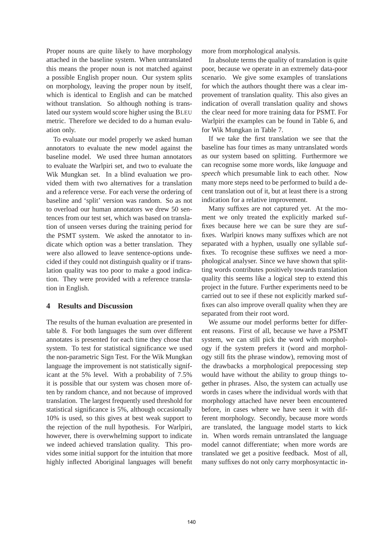Proper nouns are quite likely to have morphology attached in the baseline system. When untranslated this means the proper noun is not matched against a possible English proper noun. Our system splits on morphology, leaving the proper noun by itself, which is identical to English and can be matched without translation. So although nothing is translated our system would score higher using the BLEU metric. Therefore we decided to do a human evaluation only.

To evaluate our model properly we asked human annotators to evaluate the new model against the baseline model. We used three human annotators to evaluate the Warlpiri set, and two to evaluate the Wik Mungkan set. In a blind evaluation we provided them with two alternatives for a translation and a reference verse. For each verse the ordering of baseline and 'split' version was random. So as not to overload our human annotators we drew 50 sentences from our test set, which was based on translation of unseen verses during the training period for the PSMT system. We asked the annotator to indicate which option was a better translation. They were also allowed to leave sentence-options undecided if they could not distinguish quality or if translation quality was too poor to make a good indication. They were provided with a reference translation in English.

# **4 Results and Discussion**

The results of the human evaluation are presented in table 8. For both languages the sum over different annotates is presented for each time they chose that system. To test for statistical significance we used the non-parametric Sign Test. For the Wik Mungkan language the improvement is not statistically significant at the 5% level. With a probability of 7.5% it is possible that our system was chosen more often by random chance, and not because of improved translation. The largest frequently used threshold for statistical significance is 5%, although occasionally 10% is used, so this gives at best weak support to the rejection of the null hypothesis. For Warlpiri, however, there is overwhelming support to indicate we indeed achieved translation quality. This provides some initial support for the intuition that more highly inflected Aboriginal languages will benefit

more from morphological analysis.

In absolute terms the quality of translation is quite poor, because we operate in an extremely data-poor scenario. We give some examples of translations for which the authors thought there was a clear improvement of translation quality. This also gives an indication of overall translation quality and shows the clear need for more training data for PSMT. For Warlpiri the examples can be found in Table 6, and for Wik Mungkan in Table 7.

If we take the first translation we see that the baseline has four times as many untranslated words as our system based on splitting. Furthermore we can recognise some more words, like *language* and *speech* which presumable link to each other. Now many more steps need to be performed to build a decent translation out of it, but at least there is a strong indication for a relative improvement.

Many suffixes are not captured yet. At the moment we only treated the explicitly marked suffixes because here we can be sure they are suffixes. Warlpiri knows many suffixes which are not separated with a hyphen, usually one syllable suffixes. To recognise these suffixes we need a morphological analyser. Since we have shown that splitting words contributes positively towards translation quality this seems like a logical step to extend this project in the future. Further experiments need to be carried out to see if these not explicitly marked suffixes can also improve overall quality when they are separated from their root word.

We assume our model performs better for different reasons. First of all, because we have a PSMT system, we can still pick the word with morphology if the system prefers it (word and morphology still fits the phrase window), removing most of the drawbacks a morphological prepocessing step would have without the ability to group things together in phrases. Also, the system can actually use words in cases where the individual words with that morphology attached have never been encountered before, in cases where we have seen it with different morphology. Secondly, because more words are translated, the language model starts to kick in. When words remain untranslated the language model cannot differentiate; when more words are translated we get a positive feedback. Most of all, many suffixes do not only carry morphosyntactic in-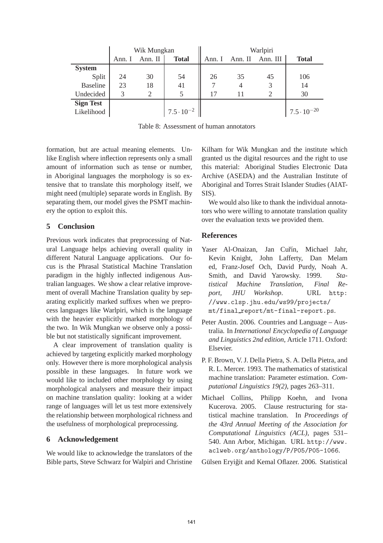|                  | Wik Mungkan |         |                        | Warlpiri |                         |    |                       |
|------------------|-------------|---------|------------------------|----------|-------------------------|----|-----------------------|
|                  | Ann. I      | Ann. II | <b>Total</b>           |          | Ann. I Ann. II Ann. III |    | <b>Total</b>          |
| <b>System</b>    |             |         |                        |          |                         |    |                       |
| Split            | 24          | 30      | 54                     | 26       | 35                      | 45 | 106                   |
| <b>Baseline</b>  | 23          | 18      | 41                     | 7        | $\overline{4}$          |    | 14                    |
| Undecided        |             |         |                        | 17       |                         |    | 30                    |
| <b>Sign Test</b> |             |         |                        |          |                         |    |                       |
| Likelihood       |             |         | $17.5 \cdot 10^{-2}$ h |          |                         |    | $17.5 \cdot 10^{-20}$ |

Table 8: Assessment of human annotators

formation, but are actual meaning elements. Unlike English where inflection represents only a small amount of information such as tense or number, in Aboriginal languages the morphology is so extensive that to translate this morphology itself, we might need (multiple) separate words in English. By separating them, our model gives the PSMT machinery the option to exploit this.

# **5 Conclusion**

Previous work indicates that preprocessing of Natural Language helps achieving overall quality in different Natural Language applications. Our focus is the Phrasal Statistical Machine Translation paradigm in the highly inflected indigenous Australian languages. We show a clear relative improvement of overall Machine Translation quality by separating explicitly marked suffixes when we preprocess languages like Warlpiri, which is the language with the heavier explicitly marked morphology of the two. In Wik Mungkan we observe only a possible but not statistically significant improvement.

A clear improvement of translation quality is achieved by targeting explicitly marked morphology only. However there is more morphological analysis possible in these languages. In future work we would like to included other morphology by using morphological analysers and measure their impact on machine translation quality: looking at a wider range of languages will let us test more extensively the relationship between morphological richness and the usefulness of morphological preprocessing.

# **6 Acknowledgement**

We would like to acknowledge the translators of the Bible parts, Steve Schwarz for Walpiri and Christine

Kilham for Wik Mungkan and the institute which granted us the digital resources and the right to use this material: Aboriginal Studies Electronic Data Archive (ASEDA) and the Australian Institute of Aboriginal and Torres Strait Islander Studies (AIAT-SIS).

We would also like to thank the individual annotators who were willing to annotate translation quality over the evaluation texts we provided them.

# **References**

- Yaser Al-Onaizan, Jan Cuřín, Michael Jahr, Kevin Knight, John Lafferty, Dan Melam ed, Franz-Josef Och, David Purdy, Noah A. Smith, and David Yarowsky. 1999. *Statistical Machine Translation, Final Report, JHU Workshop*. URL http: //[www.clsp.jhu.edu/ws99/projects/](http://www.clsp.jhu.edu/ws99/projects/) mt/final report/mt-final-report.ps.
- Peter Austin. 2006. Countries and Language Australia. In *International Encyclopedia of Language and Linguistics 2nd edition*, Article 1711. Oxford: Elsevier.
- P. F. Brown, V. J. Della Pietra, S. A. Della Pietra, and R. L. Mercer. 1993. The mathematics of statistical machine translation: Parameter estimation. *Computational Linguistics 19(2)*, pages 263–311.
- Michael Collins, Philipp Koehn, and Ivona Kucerova. 2005. Clause restructuring for statistical machine translation. In *Proceedings of the 43rd Annual Meeting of the Association for Computational Linguistics (ACL)*, pages 531– 540. Ann Arbor, Michigan. URL [http://www.](http://www) aclweb.org/anthology/P/P05/P05-1066.

Gülsen Eryiğit and Kemal Oflazer. 2006. Statistical